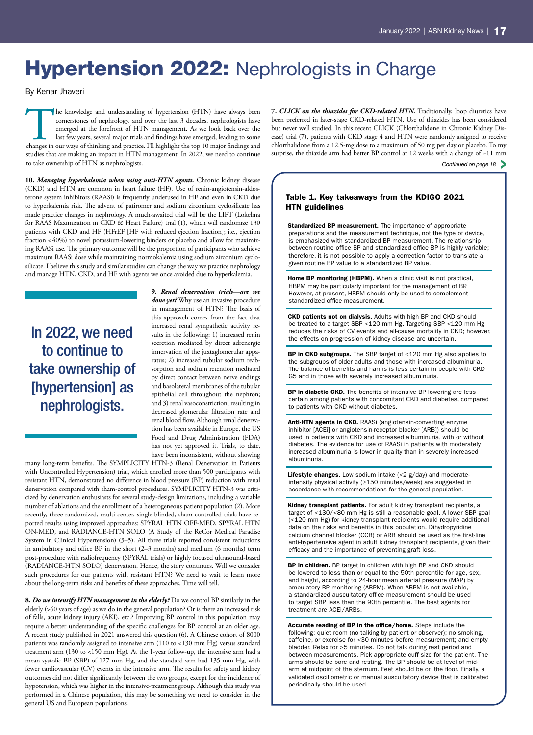# **Hypertension 2022: Nephrologists in Charge**

By Kenar Jhaveri

The knowledge and understanding of hypertension (HTN) have always been cornerstones of nephrology, and over the last 3 decades, nephrologists have emerged at the forefront of HTN management. As we look back over the last f cornerstones of nephrology, and over the last 3 decades, nephrologists have emerged at the forefront of HTN management. As we look back over the last few years, several major trials and findings have emerged, leading to some studies that are making an impact in HTN management. In 2022, we need to continue to take ownership of HTN as nephrologists.

**10.** *Managing hyperkalemia when using anti-HTN agents.* Chronic kidney disease (CKD) and HTN are common in heart failure (HF). Use of renin-angiotensin-aldosterone system inhibitors (RAASi) is frequently underused in HF and even in CKD due to hyperkalemia risk. The advent of patiromer and sodium zirconium cyclosilicate has made practice changes in nephrology. A much-awaited trial will be the LIFT (Lokelma for RAAS Maximisation in CKD & Heart Failure) trial (1), which will randomize 130 patients with CKD and HF (HFrEF [HF with reduced ejection fraction]; i.e., ejection fraction <40%) to novel potassium-lowering binders or placebo and allow for maximizing RAASi use. The primary outcome will be the proportion of participants who achieve maximum RAASi dose while maintaining normokalemia using sodium zirconium cyclosilicate. I believe this study and similar studies can change the way we practice nephrology and manage HTN, CKD, and HF with agents we once avoided due to hyperkalemia.

In 2022, we need to continue to take ownership of [hypertension] as nephrologists.

**9.** *Renal denervation trials—are we done yet?* Why use an invasive procedure in management of HTN? The basis of this approach comes from the fact that increased renal sympathetic activity results in the following: 1) increased renin secretion mediated by direct adrenergic innervation of the juxtaglomerular apparatus; 2) increased tubular sodium reabsorption and sodium retention mediated by direct contact between nerve endings and basolateral membranes of the tubular epithelial cell throughout the nephron; and 3) renal vasoconstriction, resulting in decreased glomerular filtration rate and renal blood flow. Although renal denervation has been available in Europe, the US Food and Drug Administration (FDA) has not yet approved it. Trials, to date, have been inconsistent, without showing

many long-term benefits. The SYMPLICITY HTN-3 (Renal Denervation in Patients with Uncontrolled Hypertension) trial, which enrolled more than 500 participants with resistant HTN, demonstrated no difference in blood pressure (BP) reduction with renal denervation compared with sham-control procedures. SYMPLICITY HTN-3 was criticized by denervation enthusiasts for several study-design limitations, including a variable number of ablations and the enrollment of a heterogeneous patient population (2). More recently, three randomized, multi-center, single-blinded, sham-controlled trials have reported results using improved approaches: SPYRAL HTN OFF-MED, SPYRAL HTN ON-MED, and RADIANCE-HTN SOLO (A Study of the ReCor Medical Paradise System in Clinical Hypertension) (3–5). All three trials reported consistent reductions in ambulatory and office BP in the short (2–3 months) and medium (6 months) term post-procedure with radiofrequency (SPYRAL trials) or highly focused ultrasound-based (RADIANCE-HTN SOLO) denervation. Hence, the story continues. Will we consider such procedures for our patients with resistant HTN? We need to wait to learn more about the long-term risks and benefits of these approaches. Time will tell.

**8.** *Do we intensify HTN management in the elderly?* Do we control BP similarly in the elderly (>60 years of age) as we do in the general population? Or is there an increased risk of falls, acute kidney injury (AKI), etc.? Improving BP control in this population may require a better understanding of the specific challenges for BP control at an older age. A recent study published in 2021 answered this question (6). A Chinese cohort of 8000 patients was randomly assigned to intensive arm (110 to <130 mm Hg) versus standard treatment arm (130 to <150 mm Hg). At the 1-year follow-up, the intensive arm had a mean systolic BP (SBP) of 127 mm Hg, and the standard arm had 135 mm Hg, with fewer cardiovascular (CV) events in the intensive arm. The results for safety and kidney outcomes did not differ significantly between the two groups, except for the incidence of hypotension, which was higher in the intensive-treatment group. Although this study was performed in a Chinese population, this may be something we need to consider in the general US and European populations.

*Continued on page 18* > **7.** *CLICK on the thiazides for CKD-related HTN.* Traditionally, loop diuretics have been preferred in later-stage CKD-related HTN. Use of thiazides has been considered but never well studied. In this recent CLICK (Chlorthalidone in Chronic Kidney Disease) trial (7), patients with CKD stage 4 and HTN were randomly assigned to receive chlorthalidone from a 12.5-mg dose to a maximum of 50 mg per day or placebo. To my surprise, the thiazide arm had better BP control at 12 weeks with a change of ~11 mm

## Table 1. Key takeaways from the KDIGO 2021 HTN guidelines

Standardized BP measurement. The importance of appropriate preparations and the measurement technique, not the type of device, is emphasized with standardized BP measurement. The relationship between routine office BP and standardized office BP is highly variable; therefore, it is not possible to apply a correction factor to translate a given routine BP value to a standardized BP value.

Home BP monitoring (HBPM). When a clinic visit is not practical, HBPM may be particularly important for the management of BP. However, at present, HBPM should only be used to complement standardized office measurement.

CKD patients not on dialysis. Adults with high BP and CKD should be treated to a target SBP <120 mm Hg. Targeting SBP <120 mm Hg reduces the risks of CV events and all-cause mortality in CKD; however, the effects on progression of kidney disease are uncertain.

BP in CKD subgroups. The SBP target of <120 mm Hg also applies to the subgroups of older adults and those with increased albuminuria. The balance of benefits and harms is less certain in people with CKD G5 and in those with severely increased albuminuria.

BP in diabetic CKD. The benefits of intensive BP lowering are less certain among patients with concomitant CKD and diabetes, compared to patients with CKD without diabetes.

Anti-HTN agents in CKD. RAASi (angiotensin-converting enzyme inhibitor [ACEi] or angiotensin-receptor blocker [ARB]) should be used in patients with CKD and increased albuminuria, with or without diabetes. The evidence for use of RAASi in patients with moderately increased albuminuria is lower in quality than in severely increased albuminuria.

Lifestyle changes. Low sodium intake (<2 g/day) and moderateintensity physical activity (≥150 minutes/week) are suggested in accordance with recommendations for the general population.

Kidney transplant patients. For adult kidney transplant recipients, a target of <130/<80 mm Hg is still a reasonable goal. A lower SBP goal (<120 mm Hg) for kidney transplant recipients would require additional data on the risks and benefits in this population. Dihydropyridine calcium channel blocker (CCB) or ARB should be used as the first-line anti-hypertensive agent in adult kidney transplant recipients, given their efficacy and the importance of preventing graft loss.

BP in children. BP target in children with high BP and CKD should be lowered to less than or equal to the 50th percentile for age, sex, and height, according to 24-hour mean arterial pressure (MAP) by ambulatory BP monitoring (ABPM). When ABPM is not available, a standardized auscultatory office measurement should be used to target SBP less than the 90th percentile. The best agents for treatment are ACEi/ARBs.

Accurate reading of BP in the office/home. Steps include the following: quiet room (no talking by patient or observer); no smoking, caffeine, or exercise for <30 minutes before measurement; and empty bladder. Relax for >5 minutes. Do not talk during rest period and between measurements. Pick appropriate cuff size for the patient. The arms should be bare and resting. The BP should be at level of midarm at midpoint of the sternum. Feet should be on the floor. Finally, a validated oscillometric or manual auscultatory device that is calibrated periodically should be used.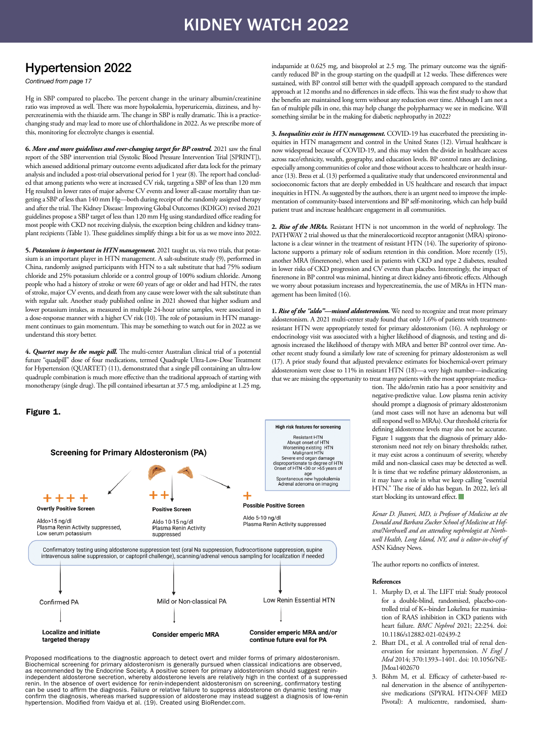## KIDNEY WATCH 2022

## Hypertension 2022

*Continued from page 17*

Hg in SBP compared to placebo. The percent change in the urinary albumin/creatinine ratio was improved as well. There was more hypokalemia, hyperuricemia, dizziness, and hypercreatinemia with the thiazide arm. The change in SBP is really dramatic. This is a practicechanging study and may lead to more use of chlorthalidone in 2022. As we prescribe more of this, monitoring for electrolyte changes is essential.

**6.** *More and more guidelines and ever-changing target for BP control.* 2021 saw the final report of the SBP intervention trial (Systolic Blood Pressure Intervention Trial [SPRINT]), which assessed additional primary outcome events adjudicated after data lock for the primary analysis and included a post-trial observational period for 1 year (8). The report had concluded that among patients who were at increased CV risk, targeting a SBP of less than 120 mm Hg resulted in lower rates of major adverse CV events and lower all-cause mortality than targeting a SBP of less than 140 mm Hg—both during receipt of the randomly assigned therapy and after the trial. The Kidney Disease: Improving Global Outcomes (KDIGO) revised 2021 guidelines propose a SBP target of less than 120 mm Hg using standardized office reading for most people with CKD not receiving dialysis, the exception being children and kidney transplant recipients (Table 1). These guidelines simplify things a bit for us as we move into 2022.

**5.** *Potassium is important in HTN management.* 2021 taught us, via two trials, that potassium is an important player in HTN management. A salt-substitute study (9), performed in China, randomly assigned participants with HTN to a salt substitute that had 75% sodium chloride and 25% potassium chloride or a control group of 100% sodium chloride. Among people who had a history of stroke or were 60 years of age or older and had HTN, the rates of stroke, major CV events, and death from any cause were lower with the salt substitute than with regular salt. Another study published online in 2021 showed that higher sodium and lower potassium intakes, as measured in multiple 24-hour urine samples, were associated in a dose-response manner with a higher CV risk (10). The role of potassium in HTN management continues to gain momentum. This may be something to watch out for in 2022 as we understand this story better.

**4.** *Quartet may be the magic pill.* The multi-center Australian clinical trial of a potential future "quadpill" dose of four medications, termed Quadruple Ultra-Low-Dose Treatment for Hypertension (QUARTET) (11), demonstrated that a single pill containing an ultra-low quadruple combination is much more effective than the traditional approach of starting with monotherapy (single drug). The pill contained irbesartan at 37.5 mg, amlodipine at 1.25 mg,

## Figure 1.



Proposed modifications to the diagnostic approach to detect overt and milder forms of primary aldosteronism. Biochemical screening for primary aldosteronism is generally pursued when classical indications are observed, as recommended by the Endocrine Society. A positive screen for primary aldosteronism should suggest reninindependent aldosterone secretion, whereby aldosterone levels are relatively high in the context of a suppressed renin. In the absence of overt evidence for renin-independent aldosteronism on screening, confirmatory testing can be used to affirm the diagnosis. Failure or relative failure to suppress aldosterone on dynamic testing may confirm the diagnosis, whereas marked suppression of aldosterone may instead suggest a diagnosis of low-renin hypertension. Modified from Vaidya et al. (19). Created using [BioRender.com.](http://BioRender.com)

indapamide at 0.625 mg, and bisoprolol at 2.5 mg. The primary outcome was the significantly reduced BP in the group starting on the quadpill at 12 weeks. These differences were sustained, with BP control still better with the quadpill approach compared to the standard approach at 12 months and no differences in side effects. This was the first study to show that the benefits are maintained long term without any reduction over time. Although I am not a fan of multiple pills in one, this may help change the polypharmacy we see in medicine. Will something similar be in the making for diabetic nephropathy in 2022?

**3.** *Inequalities exist in HTN management.* COVID‐19 has exacerbated the preexisting inequities in HTN management and control in the United States (12). Virtual healthcare is now widespread because of COVID-19, and this may widen the divide in healthcare access across race/ethnicity, wealth, geography, and education levels. BP control rates are declining, especially among communities of color and those without access to healthcare or health insurance (13). Bress et al. (13) performed a qualitative study that underscored environmental and socioeconomic factors that are deeply embedded in US healthcare and research that impact inequities in HTN. As suggested by the authors, there is an urgent need to improve the implementation of community-based interventions and BP self-monitoring, which can help build patient trust and increase healthcare engagement in all communities.

**2.** *Rise of the MRAs.* Resistant HTN is not uncommon in the world of nephrology. The PATHWAY 2 trial showed us that the mineralocorticoid receptor antagonist (MRA) spironolactone is a clear winner in the treatment of resistant HTN (14). The superiority of spironolactone supports a primary role of sodium retention in this condition. More recently (15), another MRA (finerenone), when used in patients with CKD and type 2 diabetes, resulted in lower risks of CKD progression and CV events than placebo. Interestingly, the impact of finerenone in BP control was minimal, hinting at direct kidney anti-fibrotic effects. Although we worry about potassium increases and hypercreatinemia, the use of MRAs in HTN management has been limited (16).

**1.** *Rise of the "aldo"—missed aldosteronism.* We need to recognize and treat more primary aldosteronism. A 2021 multi-center study found that only 1.6% of patients with treatmentresistant HTN were appropriately tested for primary aldosteronism (16). A nephrology or endocrinology visit was associated with a higher likelihood of diagnosis, and testing and diagnosis increased the likelihood of therapy with MRA and better BP control over time. Another recent study found a similarly low rate of screening for primary aldosteronism as well (17). A prior study found that adjusted prevalence estimates for biochemical-overt primary aldosteronism were close to 11% in resistant HTN (18)—a very high number—indicating that we are missing the opportunity to treat many patients with the most appropriate medica-

tion. The aldo/renin ratio has a poor sensitivity and negative-predictive value. Low plasma renin activity should prompt a diagnosis of primary aldosteronism (and most cases will not have an adenoma but will still respond well to MRAs). Our threshold criteria for defining aldosterone levels may also not be accurate. Figure 1 suggests that the diagnosis of primary aldosteronism need not rely on binary thresholds; rather, it may exist across a continuum of severity, whereby mild and non-classical cases may be detected as well. It is time that we redefine primary aldosteronism, as it may have a role in what we keep calling "essential HTN." The rise of aldo has begun. In 2022, let's all start blocking its untoward effect.

*Kenar D. Jhaveri, MD, is Professor of Medicine at the Donald and Barbara Zucker School of Medicine at Hofstra/Northwell and an attending nephrologist at Northwell Health, Long Island, NY, and is editor-in-chief of*  ASN Kidney News*.*

The author reports no conflicts of interest.

#### **References**

- 1. Murphy D, et al. The LIFT trial: Study protocol for a double-blind, randomised, placebo-controlled trial of K+-binder Lokelma for maximisation of RAAS inhibition in CKD patients with heart failure. *BMC Nephrol* 2021; 22:254. doi: 10.1186/s12882-021-02439-2
- 2. Bhatt DL, et al. A controlled trial of renal denervation for resistant hypertension. *N Engl J Med* 2014; 370:1393–1401. doi: 10.1056/NE-JMoa1402670
- Böhm M, et al. Efficacy of catheter-based renal denervation in the absence of antihypertensive medications (SPYRAL HTN-OFF MED Pivotal): A multicentre, randomised, sham-